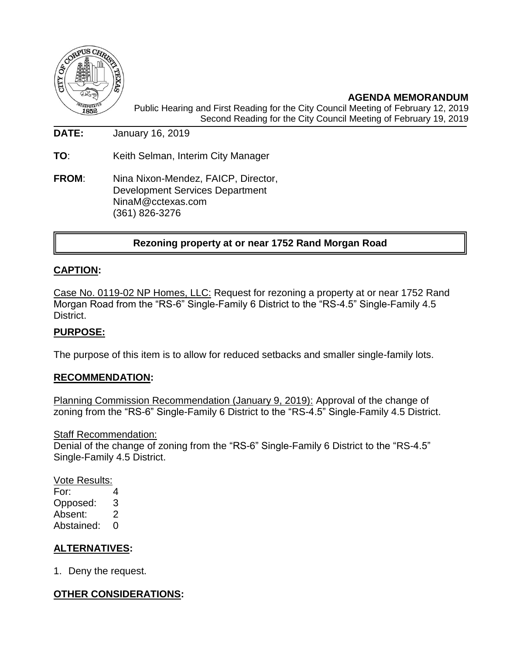

**AGENDA MEMORANDUM** Public Hearing and First Reading for the City Council Meeting of February 12, 2019 Second Reading for the City Council Meeting of February 19, 2019

**DATE:** January 16, 2019

**TO**: Keith Selman, Interim City Manager

**FROM**: Nina Nixon-Mendez, FAICP, Director, Development Services Department NinaM@cctexas.com (361) 826-3276

## **Rezoning property at or near 1752 Rand Morgan Road**

### **CAPTION:**

Case No. 0119-02 NP Homes, LLC: Request for rezoning a property at or near 1752 Rand Morgan Road from the "RS-6" Single-Family 6 District to the "RS-4.5" Single-Family 4.5 District.

#### **PURPOSE:**

The purpose of this item is to allow for reduced setbacks and smaller single-family lots.

#### **RECOMMENDATION:**

Planning Commission Recommendation (January 9, 2019): Approval of the change of zoning from the "RS-6" Single-Family 6 District to the "RS-4.5" Single-Family 4.5 District.

#### **Staff Recommendation:**

Denial of the change of zoning from the "RS-6" Single-Family 6 District to the "RS-4.5" Single-Family 4.5 District.

# Vote Results: For: 4

Opposed: 3 Absent: 2 Abstained: 0

### **ALTERNATIVES:**

1. Deny the request.

### **OTHER CONSIDERATIONS:**